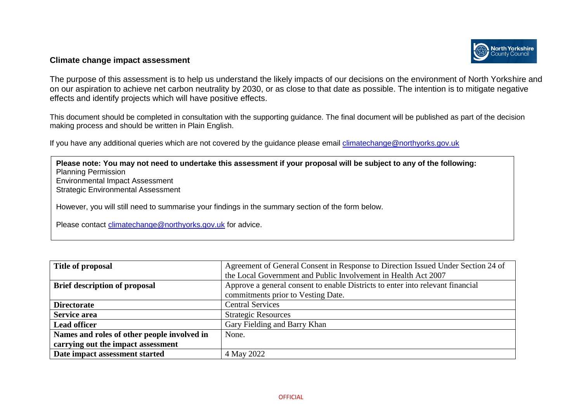

## **Climate change impact assessment**

The purpose of this assessment is to help us understand the likely impacts of our decisions on the environment of North Yorkshire and on our aspiration to achieve net carbon neutrality by 2030, or as close to that date as possible. The intention is to mitigate negative effects and identify projects which will have positive effects.

This document should be completed in consultation with the supporting guidance. The final document will be published as part of the decision making process and should be written in Plain English.

If you have any additional queries which are not covered by the guidance please email [climatechange@northyorks.gov.uk](mailto:climatechange@northyorks.gov.uk) 

**Please note: You may not need to undertake this assessment if your proposal will be subject to any of the following:**  Planning Permission Environmental Impact Assessment Strategic Environmental Assessment However, you will still need to summarise your findings in the summary section of the form below. Please contact [climatechange@northyorks.gov.uk](mailto:climatechange@northyorks.gov.uk) for advice.

| Title of proposal                           | Agreement of General Consent in Response to Direction Issued Under Section 24 of |  |  |
|---------------------------------------------|----------------------------------------------------------------------------------|--|--|
|                                             | the Local Government and Public Involvement in Health Act 2007                   |  |  |
| <b>Brief description of proposal</b>        | Approve a general consent to enable Districts to enter into relevant financial   |  |  |
|                                             | commitments prior to Vesting Date.                                               |  |  |
| <b>Directorate</b>                          | <b>Central Services</b>                                                          |  |  |
| Service area                                | <b>Strategic Resources</b>                                                       |  |  |
| <b>Lead officer</b>                         | Gary Fielding and Barry Khan                                                     |  |  |
| Names and roles of other people involved in | None.                                                                            |  |  |
| carrying out the impact assessment          |                                                                                  |  |  |
| Date impact assessment started              | 4 May 2022                                                                       |  |  |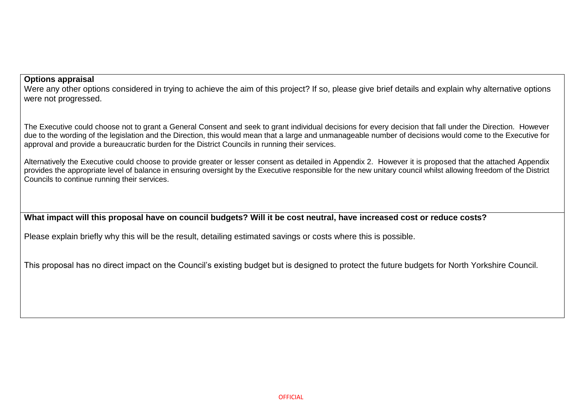## **Options appraisal**

Were any other options considered in trying to achieve the aim of this project? If so, please give brief details and explain why alternative options were not progressed.

The Executive could choose not to grant a General Consent and seek to grant individual decisions for every decision that fall under the Direction. However due to the wording of the legislation and the Direction, this would mean that a large and unmanageable number of decisions would come to the Executive for approval and provide a bureaucratic burden for the District Councils in running their services.

Alternatively the Executive could choose to provide greater or lesser consent as detailed in Appendix 2. However it is proposed that the attached Appendix provides the appropriate level of balance in ensuring oversight by the Executive responsible for the new unitary council whilst allowing freedom of the District Councils to continue running their services.

**What impact will this proposal have on council budgets? Will it be cost neutral, have increased cost or reduce costs?** 

Please explain briefly why this will be the result, detailing estimated savings or costs where this is possible.

This proposal has no direct impact on the Council's existing budget but is designed to protect the future budgets for North Yorkshire Council.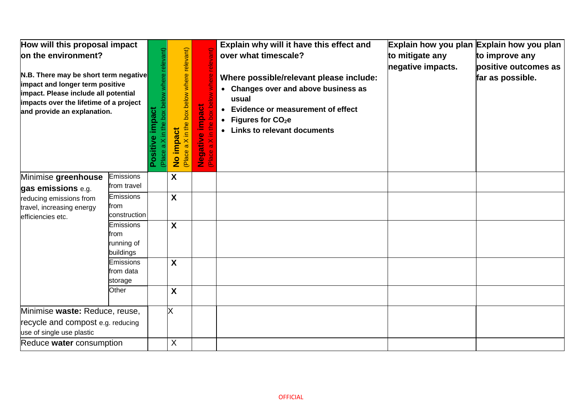| How will this proposal impact<br>on the environment?<br>N.B. There may be short term negative<br>impact and longer term positive<br>impact. Please include all potential<br>impacts over the lifetime of a project<br>and provide an explanation. |                                                     | box below where relevant)<br>mpact<br>Positiv<br>(Place | X in the box below where relevant)<br><b>impact</b><br>$\varpi$<br>(Place<br>$rac{1}{2}$ | e impact<br>the box<br>Ξ.<br>gativ<br>$\frac{1}{2}$<br>$\ddot{\bar{e}}$ | Explain why will it have this effect and<br>over what timescale?<br>Where possible/relevant please include:<br>• Changes over and above business as<br>usual<br>• Evidence or measurement of effect<br>• Figures for $CO2e$<br>• Links to relevant documents | to mitigate any<br>negative impacts. | Explain how you plan Explain how you plan<br>to improve any<br>positive outcomes as<br>far as possible. |
|---------------------------------------------------------------------------------------------------------------------------------------------------------------------------------------------------------------------------------------------------|-----------------------------------------------------|---------------------------------------------------------|------------------------------------------------------------------------------------------|-------------------------------------------------------------------------|--------------------------------------------------------------------------------------------------------------------------------------------------------------------------------------------------------------------------------------------------------------|--------------------------------------|---------------------------------------------------------------------------------------------------------|
| Minimise greenhouse<br>gas emissions e.g.                                                                                                                                                                                                         | Emissions<br>from travel                            |                                                         | $\boldsymbol{X}$                                                                         |                                                                         |                                                                                                                                                                                                                                                              |                                      |                                                                                                         |
| reducing emissions from<br>travel, increasing energy<br>efficiencies etc.                                                                                                                                                                         | <b>Emissions</b><br>from<br>construction            |                                                         | $\boldsymbol{X}$                                                                         |                                                                         |                                                                                                                                                                                                                                                              |                                      |                                                                                                         |
|                                                                                                                                                                                                                                                   | <b>Emissions</b><br>from<br>running of<br>buildings |                                                         | $\boldsymbol{X}$                                                                         |                                                                         |                                                                                                                                                                                                                                                              |                                      |                                                                                                         |
|                                                                                                                                                                                                                                                   | <b>Emissions</b><br>from data<br>storage            |                                                         | $\boldsymbol{X}$                                                                         |                                                                         |                                                                                                                                                                                                                                                              |                                      |                                                                                                         |
|                                                                                                                                                                                                                                                   | Other                                               |                                                         | X                                                                                        |                                                                         |                                                                                                                                                                                                                                                              |                                      |                                                                                                         |
| Minimise waste: Reduce, reuse,<br>recycle and compost e.g. reducing<br>use of single use plastic                                                                                                                                                  |                                                     |                                                         | X                                                                                        |                                                                         |                                                                                                                                                                                                                                                              |                                      |                                                                                                         |
| Reduce water consumption                                                                                                                                                                                                                          |                                                     |                                                         | X                                                                                        |                                                                         |                                                                                                                                                                                                                                                              |                                      |                                                                                                         |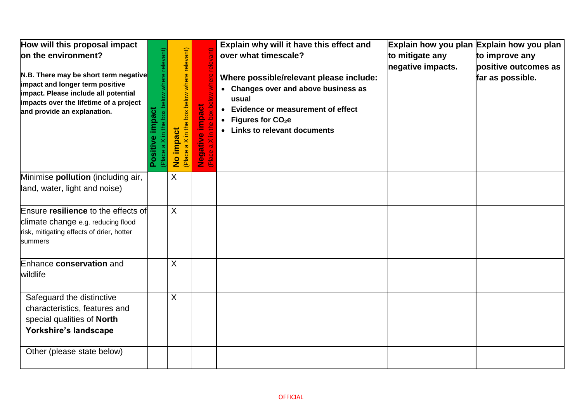| How will this proposal impact<br>on the environment?<br>N.B. There may be short term negative<br>impact and longer term positive<br>impact. Please include all potential<br>impacts over the lifetime of a project<br>and provide an explanation. | where relevant<br>impact<br>Positi<br>Place | in the box below where relevant)<br>No impact<br>Place a | impact<br>$\bullet$<br>Negative<br>Place a Xi | Explain why will it have this effect and<br>over what timescale?<br>Where possible/relevant please include:<br>• Changes over and above business as<br>usual<br><b>Evidence or measurement of effect</b><br>$\bullet$<br>• Figures for $CO2e$<br>• Links to relevant documents | Explain how you plan Explain how you plan<br>to mitigate any<br>negative impacts. | to improve any<br>positive outcomes as<br>far as possible. |
|---------------------------------------------------------------------------------------------------------------------------------------------------------------------------------------------------------------------------------------------------|---------------------------------------------|----------------------------------------------------------|-----------------------------------------------|--------------------------------------------------------------------------------------------------------------------------------------------------------------------------------------------------------------------------------------------------------------------------------|-----------------------------------------------------------------------------------|------------------------------------------------------------|
| Minimise pollution (including air,<br>land, water, light and noise)                                                                                                                                                                               |                                             | X                                                        |                                               |                                                                                                                                                                                                                                                                                |                                                                                   |                                                            |
| Ensure resilience to the effects of<br>climate change e.g. reducing flood<br>risk, mitigating effects of drier, hotter<br>summers                                                                                                                 |                                             | $\sf X$                                                  |                                               |                                                                                                                                                                                                                                                                                |                                                                                   |                                                            |
| Enhance conservation and<br>wildlife                                                                                                                                                                                                              |                                             | $\sf X$                                                  |                                               |                                                                                                                                                                                                                                                                                |                                                                                   |                                                            |
| Safeguard the distinctive<br>characteristics, features and<br>special qualities of North<br>Yorkshire's landscape                                                                                                                                 |                                             | X                                                        |                                               |                                                                                                                                                                                                                                                                                |                                                                                   |                                                            |
| Other (please state below)                                                                                                                                                                                                                        |                                             |                                                          |                                               |                                                                                                                                                                                                                                                                                |                                                                                   |                                                            |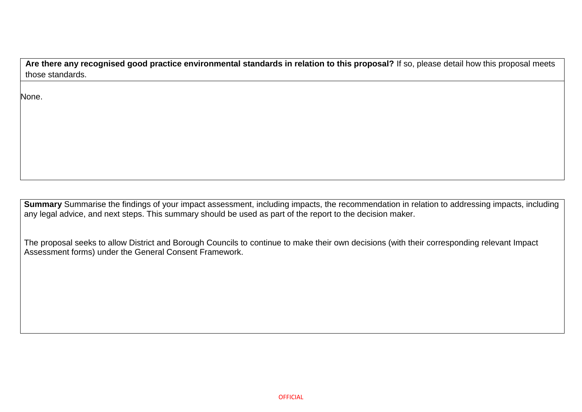**Are there any recognised good practice environmental standards in relation to this proposal?** If so, please detail how this proposal meets those standards.

None.

**Summary** Summarise the findings of your impact assessment, including impacts, the recommendation in relation to addressing impacts, including any legal advice, and next steps. This summary should be used as part of the report to the decision maker.

The proposal seeks to allow District and Borough Councils to continue to make their own decisions (with their corresponding relevant Impact Assessment forms) under the General Consent Framework.